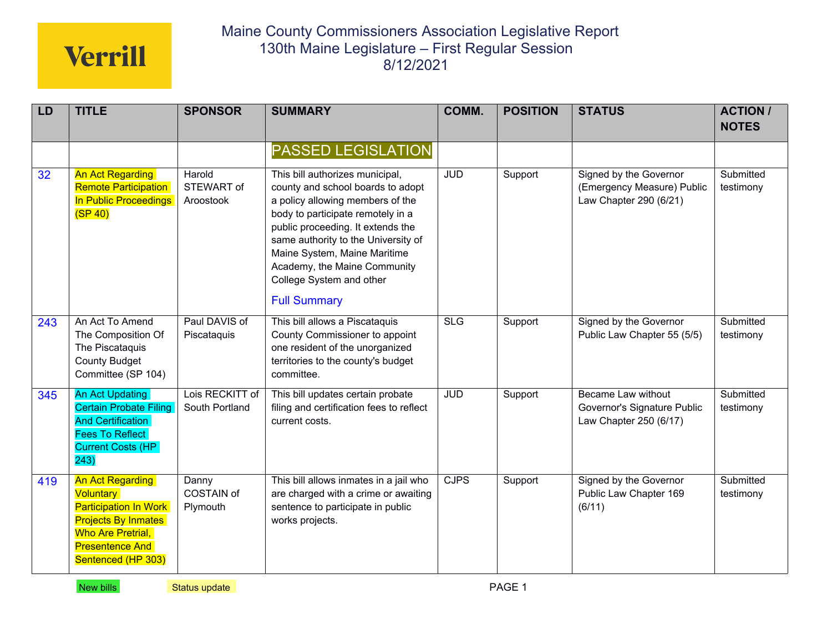| LD  | <b>TITLE</b>                                                                                                                                                                   | <b>SPONSOR</b>                         | <b>SUMMARY</b>                                                                                                                                                                                                                                                                                                                               | COMM.      | <b>POSITION</b> | <b>STATUS</b>                                                                  | <b>ACTION /</b><br><b>NOTES</b> |
|-----|--------------------------------------------------------------------------------------------------------------------------------------------------------------------------------|----------------------------------------|----------------------------------------------------------------------------------------------------------------------------------------------------------------------------------------------------------------------------------------------------------------------------------------------------------------------------------------------|------------|-----------------|--------------------------------------------------------------------------------|---------------------------------|
|     |                                                                                                                                                                                |                                        | <b>PASSED LEGISLATION</b>                                                                                                                                                                                                                                                                                                                    |            |                 |                                                                                |                                 |
| 32  | <b>An Act Regarding</b><br><b>Remote Participation</b><br>In Public Proceedings<br>(SP 40)                                                                                     | Harold<br>STEWART of<br>Aroostook      | This bill authorizes municipal,<br>county and school boards to adopt<br>a policy allowing members of the<br>body to participate remotely in a<br>public proceeding. It extends the<br>same authority to the University of<br>Maine System, Maine Maritime<br>Academy, the Maine Community<br>College System and other<br><b>Full Summary</b> | <b>JUD</b> | Support         | Signed by the Governor<br>(Emergency Measure) Public<br>Law Chapter 290 (6/21) | Submitted<br>testimony          |
| 243 | An Act To Amend<br>The Composition Of<br>The Piscataquis<br><b>County Budget</b><br>Committee (SP 104)                                                                         | Paul DAVIS of<br>Piscataquis           | This bill allows a Piscataquis<br>County Commissioner to appoint<br>one resident of the unorganized<br>territories to the county's budget<br>committee.                                                                                                                                                                                      | <b>SLG</b> | Support         | Signed by the Governor<br>Public Law Chapter 55 (5/5)                          | Submitted<br>testimony          |
| 345 | <b>An Act Updating</b><br><b>Certain Probate Filing</b><br><b>And Certification</b><br><b>Fees To Reflect</b><br><b>Current Costs (HP</b><br>243)                              | Lois RECKITT of<br>South Portland      | This bill updates certain probate<br>filing and certification fees to reflect<br>current costs.                                                                                                                                                                                                                                              | <b>JUD</b> | Support         | Became Law without<br>Governor's Signature Public<br>Law Chapter 250 (6/17)    | Submitted<br>testimony          |
| 419 | <b>An Act Regarding</b><br><b>Voluntary</b><br><b>Participation In Work</b><br><b>Projects By Inmates</b><br>Who Are Pretrial,<br><b>Presentence And</b><br>Sentenced (HP 303) | Danny<br><b>COSTAIN of</b><br>Plymouth | This bill allows inmates in a jail who<br>are charged with a crime or awaiting<br>sentence to participate in public<br>works projects.                                                                                                                                                                                                       | CJPS       | Support         | Signed by the Governor<br>Public Law Chapter 169<br>(6/11)                     | Submitted<br>testimony          |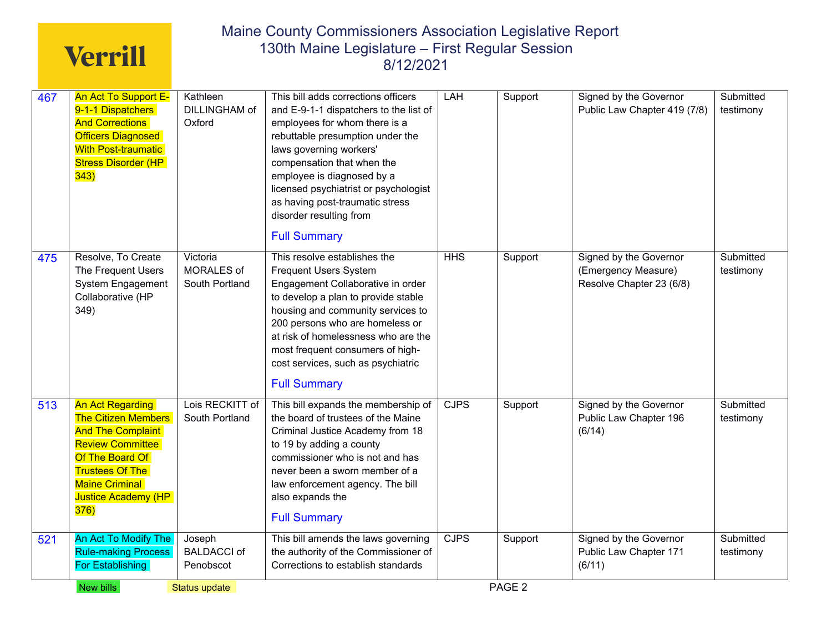| 467 | An Act To Support E-<br>9-1-1 Dispatchers<br><b>And Corrections</b><br><b>Officers Diagnosed</b><br><b>With Post-traumatic</b><br><b>Stress Disorder (HP</b><br>343)                                                            | Kathleen<br>DILLINGHAM of<br>Oxford       | This bill adds corrections officers<br>and E-9-1-1 dispatchers to the list of<br>employees for whom there is a<br>rebuttable presumption under the<br>laws governing workers'<br>compensation that when the<br>employee is diagnosed by a<br>licensed psychiatrist or psychologist<br>as having post-traumatic stress<br>disorder resulting from                                | LAH         | Support           | Signed by the Governor<br>Public Law Chapter 419 (7/8)                    | Submitted<br>testimony |
|-----|---------------------------------------------------------------------------------------------------------------------------------------------------------------------------------------------------------------------------------|-------------------------------------------|---------------------------------------------------------------------------------------------------------------------------------------------------------------------------------------------------------------------------------------------------------------------------------------------------------------------------------------------------------------------------------|-------------|-------------------|---------------------------------------------------------------------------|------------------------|
| 475 | Resolve, To Create<br>The Frequent Users<br>System Engagement<br>Collaborative (HP<br>349)                                                                                                                                      | Victoria<br>MORALES of<br>South Portland  | <b>Full Summary</b><br>This resolve establishes the<br><b>Frequent Users System</b><br>Engagement Collaborative in order<br>to develop a plan to provide stable<br>housing and community services to<br>200 persons who are homeless or<br>at risk of homelessness who are the<br>most frequent consumers of high-<br>cost services, such as psychiatric<br><b>Full Summary</b> | <b>HHS</b>  | Support           | Signed by the Governor<br>(Emergency Measure)<br>Resolve Chapter 23 (6/8) | Submitted<br>testimony |
| 513 | <b>An Act Regarding</b><br><b>The Citizen Members</b><br><b>And The Complaint</b><br><b>Review Committee</b><br>Of The Board Of<br><b>Trustees Of The</b><br><b>Maine Criminal</b><br><b>Justice Academy (HP</b><br><b>376)</b> | Lois RECKITT of<br>South Portland         | This bill expands the membership of<br>the board of trustees of the Maine<br>Criminal Justice Academy from 18<br>to 19 by adding a county<br>commissioner who is not and has<br>never been a sworn member of a<br>law enforcement agency. The bill<br>also expands the<br><b>Full Summary</b>                                                                                   | <b>CJPS</b> | Support           | Signed by the Governor<br>Public Law Chapter 196<br>(6/14)                | Submitted<br>testimony |
| 521 | An Act To Modify The<br><b>Rule-making Process</b><br>For Establishing                                                                                                                                                          | Joseph<br><b>BALDACCI of</b><br>Penobscot | This bill amends the laws governing<br>the authority of the Commissioner of<br>Corrections to establish standards                                                                                                                                                                                                                                                               | <b>CJPS</b> | Support           | Signed by the Governor<br>Public Law Chapter 171<br>(6/11)                | Submitted<br>testimony |
|     | New bills                                                                                                                                                                                                                       | Status update                             |                                                                                                                                                                                                                                                                                                                                                                                 |             | PAGE <sub>2</sub> |                                                                           |                        |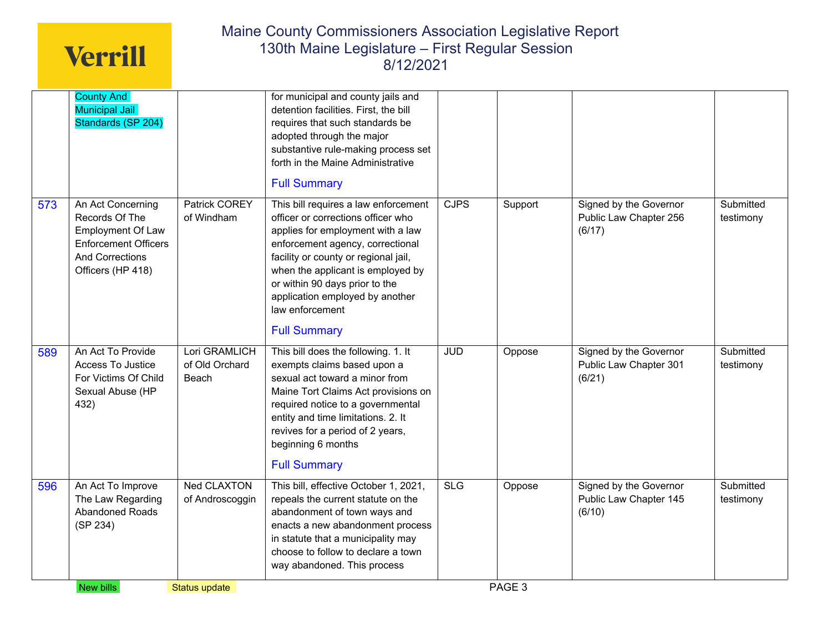|     |                                                                                                                                               |                                          | adopted through the major<br>substantive rule-making process set<br>forth in the Maine Administrative<br><b>Full Summary</b>                                                                                                                                                                                                                    |            |         |                                                            |                        |
|-----|-----------------------------------------------------------------------------------------------------------------------------------------------|------------------------------------------|-------------------------------------------------------------------------------------------------------------------------------------------------------------------------------------------------------------------------------------------------------------------------------------------------------------------------------------------------|------------|---------|------------------------------------------------------------|------------------------|
| 573 | An Act Concerning<br>Records Of The<br><b>Employment Of Law</b><br><b>Enforcement Officers</b><br><b>And Corrections</b><br>Officers (HP 418) | Patrick COREY<br>of Windham              | This bill requires a law enforcement<br>officer or corrections officer who<br>applies for employment with a law<br>enforcement agency, correctional<br>facility or county or regional jail,<br>when the applicant is employed by<br>or within 90 days prior to the<br>application employed by another<br>law enforcement<br><b>Full Summary</b> | CJPS       | Support | Signed by the Governor<br>Public Law Chapter 256<br>(6/17) | Submitted<br>testimony |
| 589 | An Act To Provide<br>Access To Justice<br>For Victims Of Child<br>Sexual Abuse (HP<br>432)                                                    | Lori GRAMLICH<br>of Old Orchard<br>Beach | This bill does the following. 1. It<br>exempts claims based upon a<br>sexual act toward a minor from<br>Maine Tort Claims Act provisions on<br>required notice to a governmental<br>entity and time limitations. 2. It<br>revives for a period of 2 years,<br>beginning 6 months<br><b>Full Summary</b>                                         | <b>JUD</b> | Oppose  | Signed by the Governor<br>Public Law Chapter 301<br>(6/21) | Submitted<br>testimony |
| 596 | An Act To Improve<br>The Law Regarding<br>Abandoned Roads<br>(SP 234)                                                                         | <b>Ned CLAXTON</b><br>of Androscoggin    | This bill, effective October 1, 2021,<br>repeals the current statute on the<br>abandonment of town ways and<br>enacts a new abandonment process<br>in statute that a municipality may<br>choose to follow to declare a town<br>way abandoned. This process                                                                                      | SLG        | Oppose  | Signed by the Governor<br>Public Law Chapter 145<br>(6/10) | Submitted<br>testimony |
|     | New bills                                                                                                                                     | <b>Status update</b>                     |                                                                                                                                                                                                                                                                                                                                                 |            | PAGE 3  |                                                            |                        |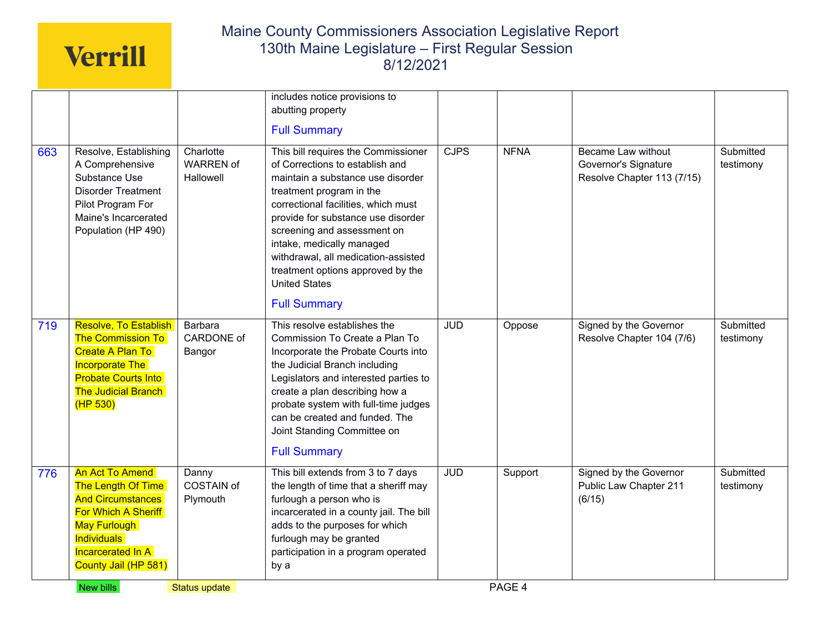|     |                                                                                                                                                                                     |                                            | includes notice provisions to<br>abutting property<br><b>Full Summary</b>                                                                                                                                                                                                                                                                                                                                   |             |             |                                                                          |                        |
|-----|-------------------------------------------------------------------------------------------------------------------------------------------------------------------------------------|--------------------------------------------|-------------------------------------------------------------------------------------------------------------------------------------------------------------------------------------------------------------------------------------------------------------------------------------------------------------------------------------------------------------------------------------------------------------|-------------|-------------|--------------------------------------------------------------------------|------------------------|
| 663 | Resolve, Establishing<br>A Comprehensive<br>Substance Use<br><b>Disorder Treatment</b><br>Pilot Program For<br>Maine's Incarcerated<br>Population (HP 490)                          | Charlotte<br><b>WARREN of</b><br>Hallowell | This bill requires the Commissioner<br>of Corrections to establish and<br>maintain a substance use disorder<br>treatment program in the<br>correctional facilities, which must<br>provide for substance use disorder<br>screening and assessment on<br>intake, medically managed<br>withdrawal, all medication-assisted<br>treatment options approved by the<br><b>United States</b><br><b>Full Summary</b> | <b>CJPS</b> | <b>NFNA</b> | Became Law without<br>Governor's Signature<br>Resolve Chapter 113 (7/15) | Submitted<br>testimony |
| 719 | Resolve, To Establish<br><b>The Commission To</b><br>Create A Plan To<br><b>Incorporate The</b><br><b>Probate Courts Into</b><br><b>The Judicial Branch</b><br>(HP <sub>530</sub> ) | Barbara<br>CARDONE of<br>Bangor            | This resolve establishes the<br>Commission To Create a Plan To<br>Incorporate the Probate Courts into<br>the Judicial Branch including<br>Legislators and interested parties to<br>create a plan describing how a<br>probate system with full-time judges<br>can be created and funded. The<br>Joint Standing Committee on<br><b>Full Summary</b>                                                           | <b>JUD</b>  | Oppose      | Signed by the Governor<br>Resolve Chapter 104 (7/6)                      | Submitted<br>testimony |
| 776 | <b>An Act To Amend</b><br>The Length Of Time<br><b>And Circumstances</b><br>For Which A Sheriff<br>May Furlough<br><b>Individuals</b><br>Incarcerated In A<br>County Jail (HP 581)  | Danny<br>COSTAIN of<br>Plymouth            | This bill extends from 3 to 7 days<br>the length of time that a sheriff may<br>furlough a person who is<br>incarcerated in a county jail. The bill<br>adds to the purposes for which<br>furlough may be granted<br>participation in a program operated<br>by a                                                                                                                                              | <b>JUD</b>  | Support     | Signed by the Governor<br>Public Law Chapter 211<br>(6/15)               | Submitted<br>testimony |
|     | New bills                                                                                                                                                                           | Status update                              |                                                                                                                                                                                                                                                                                                                                                                                                             |             | PAGE 4      |                                                                          |                        |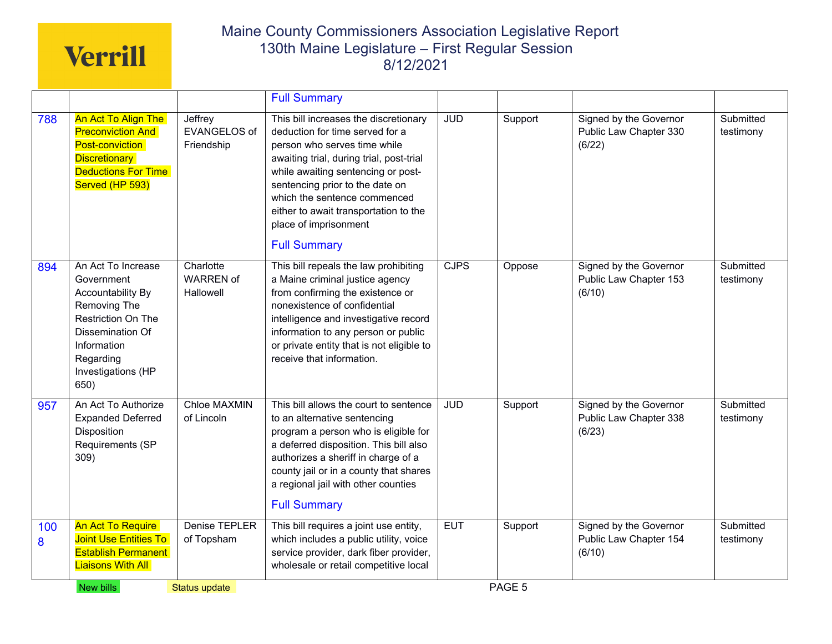|          |                                                                                                                                                                           |                                              | <b>Full Summary</b>                                                                                                                                                                                                                                                                                                                                    |            |         |                                                            |                        |
|----------|---------------------------------------------------------------------------------------------------------------------------------------------------------------------------|----------------------------------------------|--------------------------------------------------------------------------------------------------------------------------------------------------------------------------------------------------------------------------------------------------------------------------------------------------------------------------------------------------------|------------|---------|------------------------------------------------------------|------------------------|
| 788      | An Act To Align The<br><b>Preconviction And</b><br>Post-conviction<br><b>Discretionary</b><br><b>Deductions For Time</b><br>Served (HP 593)                               | Jeffrey<br><b>EVANGELOS of</b><br>Friendship | This bill increases the discretionary<br>deduction for time served for a<br>person who serves time while<br>awaiting trial, during trial, post-trial<br>while awaiting sentencing or post-<br>sentencing prior to the date on<br>which the sentence commenced<br>either to await transportation to the<br>place of imprisonment<br><b>Full Summary</b> | <b>JUD</b> | Support | Signed by the Governor<br>Public Law Chapter 330<br>(6/22) | Submitted<br>testimony |
| 894      | An Act To Increase<br>Government<br>Accountability By<br>Removing The<br>Restriction On The<br>Dissemination Of<br>Information<br>Regarding<br>Investigations (HP<br>650) | Charlotte<br><b>WARREN of</b><br>Hallowell   | This bill repeals the law prohibiting<br>a Maine criminal justice agency<br>from confirming the existence or<br>nonexistence of confidential<br>intelligence and investigative record<br>information to any person or public<br>or private entity that is not eligible to<br>receive that information.                                                 | CJPS       | Oppose  | Signed by the Governor<br>Public Law Chapter 153<br>(6/10) | Submitted<br>testimony |
| 957      | An Act To Authorize<br><b>Expanded Deferred</b><br>Disposition<br>Requirements (SP<br>309)                                                                                | <b>Chloe MAXMIN</b><br>of Lincoln            | This bill allows the court to sentence<br>to an alternative sentencing<br>program a person who is eligible for<br>a deferred disposition. This bill also<br>authorizes a sheriff in charge of a<br>county jail or in a county that shares<br>a regional jail with other counties<br><b>Full Summary</b>                                                | <b>JUD</b> | Support | Signed by the Governor<br>Public Law Chapter 338<br>(6/23) | Submitted<br>testimony |
| 100<br>8 | An Act To Require<br><b>Joint Use Entities To</b><br><b>Establish Permanent</b><br><b>Liaisons With All</b>                                                               | Denise TEPLER<br>of Topsham                  | This bill requires a joint use entity,<br>which includes a public utility, voice<br>service provider, dark fiber provider,<br>wholesale or retail competitive local                                                                                                                                                                                    | <b>EUT</b> | Support | Signed by the Governor<br>Public Law Chapter 154<br>(6/10) | Submitted<br>testimony |
|          | New bills                                                                                                                                                                 | <b>Status update</b>                         |                                                                                                                                                                                                                                                                                                                                                        |            | PAGE 5  |                                                            |                        |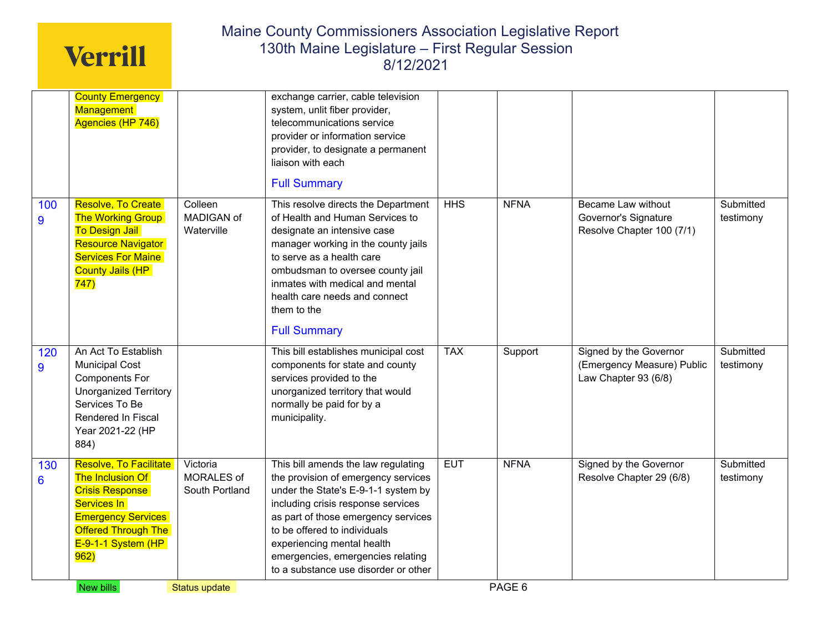|          | <b>County Emergency</b><br><b>Management</b><br>Agencies (HP 746)                                                                                                              |                                          | exchange carrier, cable television<br>system, unlit fiber provider,<br>telecommunications service<br>provider or information service<br>provider, to designate a permanent<br>liaison with each<br><b>Full Summary</b>                                                                                                                    |            |             |                                                                                |                        |
|----------|--------------------------------------------------------------------------------------------------------------------------------------------------------------------------------|------------------------------------------|-------------------------------------------------------------------------------------------------------------------------------------------------------------------------------------------------------------------------------------------------------------------------------------------------------------------------------------------|------------|-------------|--------------------------------------------------------------------------------|------------------------|
| 100<br>9 | Resolve, To Create<br><b>The Working Group</b><br><b>To Design Jail</b><br>Resource Navigator<br><b>Services For Maine</b><br><b>County Jails (HP</b><br>747)                  | Colleen<br>MADIGAN of<br>Waterville      | This resolve directs the Department<br>of Health and Human Services to<br>designate an intensive case<br>manager working in the county jails<br>to serve as a health care<br>ombudsman to oversee county jail<br>inmates with medical and mental<br>health care needs and connect<br>them to the<br><b>Full Summary</b>                   | HHS        | <b>NFNA</b> | <b>Became Law without</b><br>Governor's Signature<br>Resolve Chapter 100 (7/1) | Submitted<br>testimony |
| 120<br>9 | An Act To Establish<br><b>Municipal Cost</b><br><b>Components For</b><br><b>Unorganized Territory</b><br>Services To Be<br>Rendered In Fiscal<br>Year 2021-22 (HP<br>884)      |                                          | This bill establishes municipal cost<br>components for state and county<br>services provided to the<br>unorganized territory that would<br>normally be paid for by a<br>municipality.                                                                                                                                                     | <b>TAX</b> | Support     | Signed by the Governor<br>(Emergency Measure) Public<br>Law Chapter 93 (6/8)   | Submitted<br>testimony |
| 130<br>6 | Resolve, To Facilitate<br>The Inclusion Of<br><b>Crisis Response</b><br>Services In<br><b>Emergency Services</b><br><b>Offered Through The</b><br>$E-9-1-1$ System (HP<br>962) | Victoria<br>MORALES of<br>South Portland | This bill amends the law regulating<br>the provision of emergency services<br>under the State's E-9-1-1 system by<br>including crisis response services<br>as part of those emergency services<br>to be offered to individuals<br>experiencing mental health<br>emergencies, emergencies relating<br>to a substance use disorder or other | <b>EUT</b> | <b>NFNA</b> | Signed by the Governor<br>Resolve Chapter 29 (6/8)                             | Submitted<br>testimony |
|          | New bills                                                                                                                                                                      | <b>Status update</b>                     |                                                                                                                                                                                                                                                                                                                                           |            | PAGE 6      |                                                                                |                        |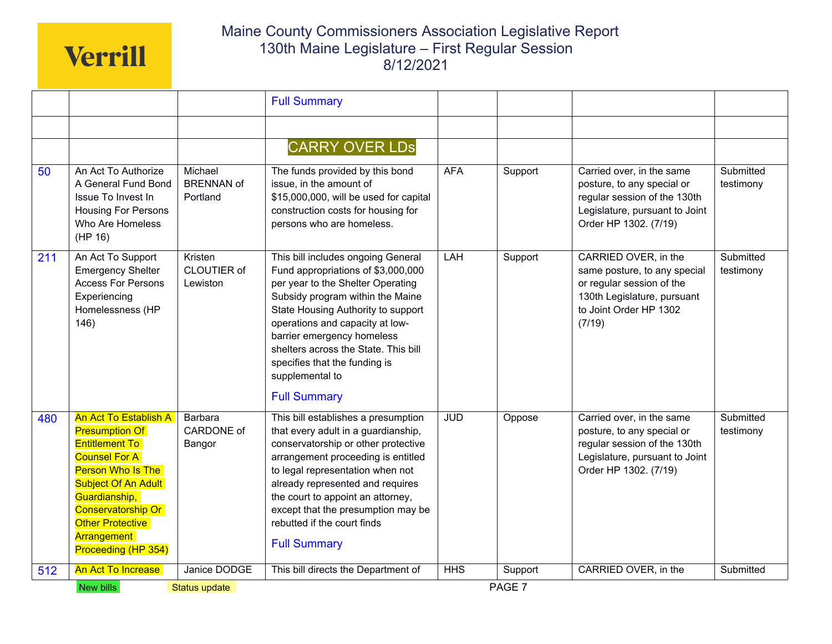|     |                                                                                                                                                                                                                                                            |                                          | <b>Full Summary</b>                                                                                                                                                                                                                                                                                                                                                         |            |                   |                                                                                                                                                      |                        |
|-----|------------------------------------------------------------------------------------------------------------------------------------------------------------------------------------------------------------------------------------------------------------|------------------------------------------|-----------------------------------------------------------------------------------------------------------------------------------------------------------------------------------------------------------------------------------------------------------------------------------------------------------------------------------------------------------------------------|------------|-------------------|------------------------------------------------------------------------------------------------------------------------------------------------------|------------------------|
|     |                                                                                                                                                                                                                                                            |                                          | <b>CARRY OVER LDS</b>                                                                                                                                                                                                                                                                                                                                                       |            |                   |                                                                                                                                                      |                        |
| 50  | An Act To Authorize<br>A General Fund Bond<br>Issue To Invest In<br><b>Housing For Persons</b><br>Who Are Homeless<br>(HP 16)                                                                                                                              | Michael<br><b>BRENNAN of</b><br>Portland | The funds provided by this bond<br>issue, in the amount of<br>\$15,000,000, will be used for capital<br>construction costs for housing for<br>persons who are homeless.                                                                                                                                                                                                     | <b>AFA</b> | Support           | Carried over, in the same<br>posture, to any special or<br>regular session of the 130th<br>Legislature, pursuant to Joint<br>Order HP 1302. (7/19)   | Submitted<br>testimony |
| 211 | An Act To Support<br><b>Emergency Shelter</b><br><b>Access For Persons</b><br>Experiencing<br>Homelessness (HP<br>146)                                                                                                                                     | Kristen<br>CLOUTIER of<br>Lewiston       | This bill includes ongoing General<br>Fund appropriations of \$3,000,000<br>per year to the Shelter Operating<br>Subsidy program within the Maine<br>State Housing Authority to support<br>operations and capacity at low-<br>barrier emergency homeless<br>shelters across the State. This bill<br>specifies that the funding is<br>supplemental to<br><b>Full Summary</b> | LAH        | Support           | CARRIED OVER, in the<br>same posture, to any special<br>or regular session of the<br>130th Legislature, pursuant<br>to Joint Order HP 1302<br>(7/19) | Submitted<br>testimony |
| 480 | <b>An Act To Establish A</b><br><b>Presumption Of</b><br><b>Entitlement To</b><br><b>Counsel For A</b><br>Person Who Is The<br><b>Subject Of An Adult</b><br>Guardianship,<br>Conservatorship Or<br>Other Protective<br>Arrangement<br>Proceeding (HP 354) | Barbara<br>CARDONE of<br>Bangor          | This bill establishes a presumption<br>that every adult in a guardianship,<br>conservatorship or other protective<br>arrangement proceeding is entitled<br>to legal representation when not<br>already represented and requires<br>the court to appoint an attorney,<br>except that the presumption may be<br>rebutted if the court finds<br><b>Full Summary</b>            | <b>JUD</b> | Oppose            | Carried over, in the same<br>posture, to any special or<br>regular session of the 130th<br>Legislature, pursuant to Joint<br>Order HP 1302. (7/19)   | Submitted<br>testimony |
| 512 | <b>An Act To Increase</b>                                                                                                                                                                                                                                  | Janice DODGE                             | This bill directs the Department of                                                                                                                                                                                                                                                                                                                                         | <b>HHS</b> | Support           | CARRIED OVER, in the                                                                                                                                 | Submitted              |
|     | New bills                                                                                                                                                                                                                                                  | Status update                            |                                                                                                                                                                                                                                                                                                                                                                             |            | PAGE <sub>7</sub> |                                                                                                                                                      |                        |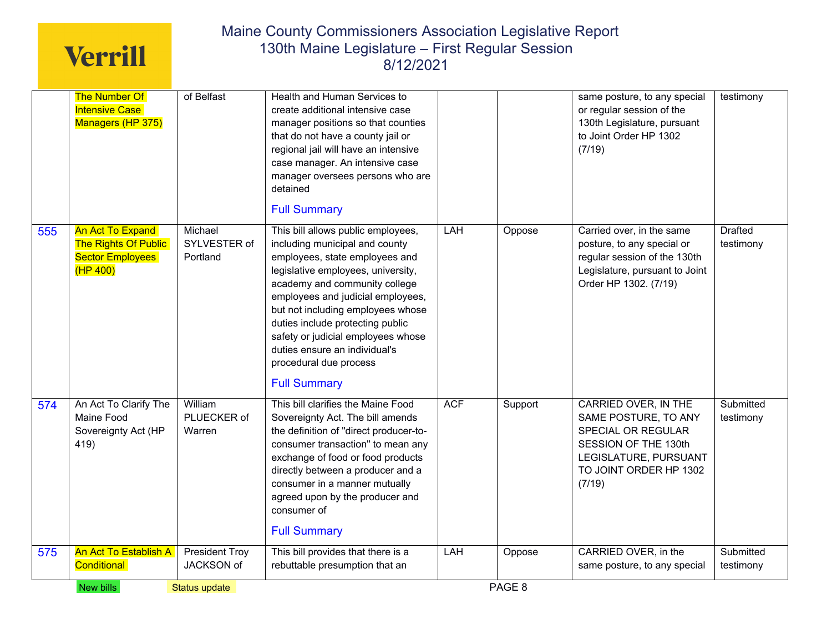|     | <b>The Number Of</b>                       | of Belfast            | Health and Human Services to                                           |            |         | same posture, to any special                                   | testimony      |
|-----|--------------------------------------------|-----------------------|------------------------------------------------------------------------|------------|---------|----------------------------------------------------------------|----------------|
|     | <b>Intensive Case</b><br>Managers (HP 375) |                       | create additional intensive case<br>manager positions so that counties |            |         | or regular session of the<br>130th Legislature, pursuant       |                |
|     |                                            |                       | that do not have a county jail or                                      |            |         | to Joint Order HP 1302                                         |                |
|     |                                            |                       | regional jail will have an intensive                                   |            |         | (7/19)                                                         |                |
|     |                                            |                       | case manager. An intensive case                                        |            |         |                                                                |                |
|     |                                            |                       | manager oversees persons who are<br>detained                           |            |         |                                                                |                |
|     |                                            |                       |                                                                        |            |         |                                                                |                |
|     |                                            |                       | <b>Full Summary</b>                                                    |            |         |                                                                |                |
| 555 | <b>An Act To Expand</b>                    | Michael               | This bill allows public employees,                                     | LAH        | Oppose  | Carried over, in the same                                      | <b>Drafted</b> |
|     | <b>The Rights Of Public</b>                | SYLVESTER of          | including municipal and county                                         |            |         | posture, to any special or                                     | testimony      |
|     | <b>Sector Employees</b><br>(HP 400)        | Portland              | employees, state employees and<br>legislative employees, university,   |            |         | regular session of the 130th<br>Legislature, pursuant to Joint |                |
|     |                                            |                       | academy and community college                                          |            |         | Order HP 1302. (7/19)                                          |                |
|     |                                            |                       | employees and judicial employees,                                      |            |         |                                                                |                |
|     |                                            |                       | but not including employees whose                                      |            |         |                                                                |                |
|     |                                            |                       | duties include protecting public                                       |            |         |                                                                |                |
|     |                                            |                       | safety or judicial employees whose                                     |            |         |                                                                |                |
|     |                                            |                       | duties ensure an individual's<br>procedural due process                |            |         |                                                                |                |
|     |                                            |                       |                                                                        |            |         |                                                                |                |
|     |                                            |                       | <b>Full Summary</b>                                                    |            |         |                                                                |                |
| 574 | An Act To Clarify The                      | William               | This bill clarifies the Maine Food                                     | <b>ACF</b> | Support | CARRIED OVER, IN THE                                           | Submitted      |
|     | Maine Food                                 | PLUECKER of           | Sovereignty Act. The bill amends                                       |            |         | SAME POSTURE, TO ANY                                           | testimony      |
|     | Sovereignty Act (HP                        | Warren                | the definition of "direct producer-to-                                 |            |         | SPECIAL OR REGULAR                                             |                |
|     | 419)                                       |                       | consumer transaction" to mean any                                      |            |         | SESSION OF THE 130th<br>LEGISLATURE, PURSUANT                  |                |
|     |                                            |                       | exchange of food or food products<br>directly between a producer and a |            |         | TO JOINT ORDER HP 1302                                         |                |
|     |                                            |                       | consumer in a manner mutually                                          |            |         | (7/19)                                                         |                |
|     |                                            |                       | agreed upon by the producer and                                        |            |         |                                                                |                |
|     |                                            |                       | consumer of                                                            |            |         |                                                                |                |
|     |                                            |                       | <b>Full Summary</b>                                                    |            |         |                                                                |                |
| 575 | <b>An Act To Establish A</b>               | <b>President Troy</b> | This bill provides that there is a                                     | LAH        | Oppose  | CARRIED OVER, in the                                           | Submitted      |
|     | Conditional                                | JACKSON of            | rebuttable presumption that an                                         |            |         | same posture, to any special                                   | testimony      |
|     | New bills                                  | <b>Status update</b>  |                                                                        |            | PAGE 8  |                                                                |                |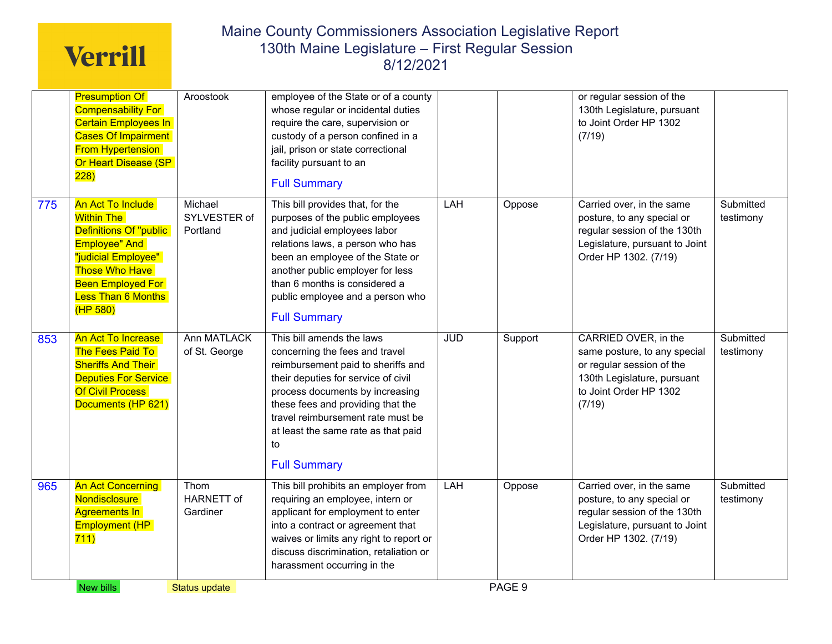|     | <b>Presumption Of</b><br><b>Compensability For</b><br><b>Certain Employees In</b><br><b>Cases Of Impairment</b><br><b>From Hypertension</b><br>Or Heart Disease (SP<br>228)                                   | Aroostook                           | employee of the State or of a county<br>whose regular or incidental duties<br>require the care, supervision or<br>custody of a person confined in a<br>jail, prison or state correctional<br>facility pursuant to an<br><b>Full Summary</b>                                                                               |            |         | or regular session of the<br>130th Legislature, pursuant<br>to Joint Order HP 1302<br>(7/19)                                                         |                        |
|-----|---------------------------------------------------------------------------------------------------------------------------------------------------------------------------------------------------------------|-------------------------------------|---------------------------------------------------------------------------------------------------------------------------------------------------------------------------------------------------------------------------------------------------------------------------------------------------------------------------|------------|---------|------------------------------------------------------------------------------------------------------------------------------------------------------|------------------------|
| 775 | An Act To Include<br><b>Within The</b><br>Definitions Of "public<br><b>Employee" And</b><br>"judicial Employee"<br><b>Those Who Have</b><br><b>Been Employed For</b><br><b>Less Than 6 Months</b><br>(HP 580) | Michael<br>SYLVESTER of<br>Portland | This bill provides that, for the<br>purposes of the public employees<br>and judicial employees labor<br>relations laws, a person who has<br>been an employee of the State or<br>another public employer for less<br>than 6 months is considered a<br>public employee and a person who<br><b>Full Summary</b>              | LAH        | Oppose  | Carried over, in the same<br>posture, to any special or<br>regular session of the 130th<br>Legislature, pursuant to Joint<br>Order HP 1302. (7/19)   | Submitted<br>testimony |
| 853 | An Act To Increase<br>The Fees Paid To<br><b>Sheriffs And Their</b><br><b>Deputies For Service</b><br><b>Of Civil Process</b><br>Documents (HP 621)                                                           | <b>Ann MATLACK</b><br>of St. George | This bill amends the laws<br>concerning the fees and travel<br>reimbursement paid to sheriffs and<br>their deputies for service of civil<br>process documents by increasing<br>these fees and providing that the<br>travel reimbursement rate must be<br>at least the same rate as that paid<br>to<br><b>Full Summary</b> | <b>JUD</b> | Support | CARRIED OVER, in the<br>same posture, to any special<br>or regular session of the<br>130th Legislature, pursuant<br>to Joint Order HP 1302<br>(7/19) | Submitted<br>testimony |
| 965 | <b>An Act Concerning</b><br>Nondisclosure<br><b>Agreements In</b><br><b>Employment (HP</b><br>711)                                                                                                            | Thom<br>HARNETT of<br>Gardiner      | This bill prohibits an employer from<br>requiring an employee, intern or<br>applicant for employment to enter<br>into a contract or agreement that<br>waives or limits any right to report or<br>discuss discrimination, retaliation or<br>harassment occurring in the                                                    | LAH        | Oppose  | Carried over, in the same<br>posture, to any special or<br>regular session of the 130th<br>Legislature, pursuant to Joint<br>Order HP 1302. (7/19)   | Submitted<br>testimony |
|     | New bills                                                                                                                                                                                                     | <b>Status update</b>                |                                                                                                                                                                                                                                                                                                                           |            | PAGE 9  |                                                                                                                                                      |                        |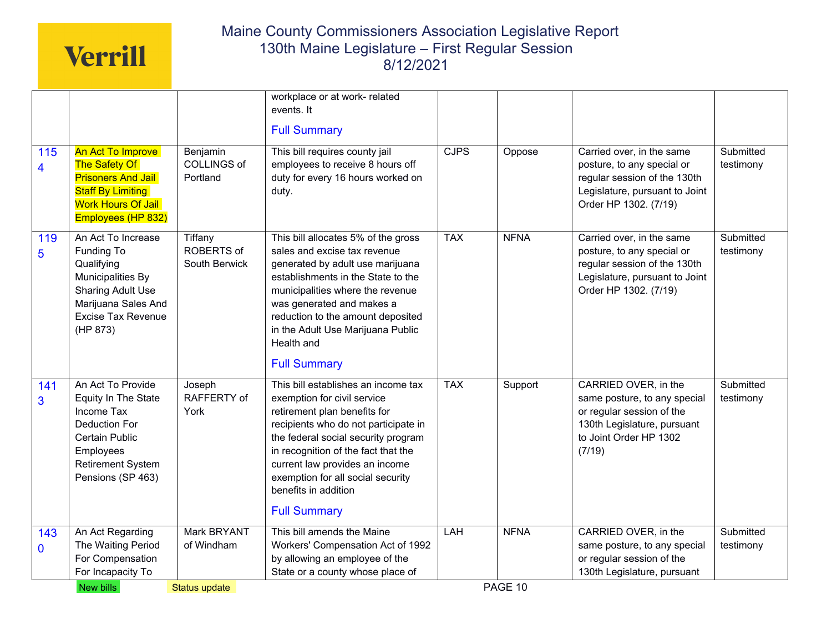|                     |                                                                                                                                                                 |                                            | workplace or at work- related<br>events. It<br><b>Full Summary</b>                                                                                                                                                                                                                                                                                                    |            |             |                                                                                                                                                      |                        |
|---------------------|-----------------------------------------------------------------------------------------------------------------------------------------------------------------|--------------------------------------------|-----------------------------------------------------------------------------------------------------------------------------------------------------------------------------------------------------------------------------------------------------------------------------------------------------------------------------------------------------------------------|------------|-------------|------------------------------------------------------------------------------------------------------------------------------------------------------|------------------------|
| 115<br>4            | An Act To Improve<br><b>The Safety Of</b><br><b>Prisoners And Jail</b><br><b>Staff By Limiting</b><br><b>Work Hours Of Jail</b><br>Employees (HP 832)           | Benjamin<br><b>COLLINGS of</b><br>Portland | This bill requires county jail<br>employees to receive 8 hours off<br>duty for every 16 hours worked on<br>duty.                                                                                                                                                                                                                                                      | CJPS       | Oppose      | Carried over, in the same<br>posture, to any special or<br>regular session of the 130th<br>Legislature, pursuant to Joint<br>Order HP 1302. (7/19)   | Submitted<br>testimony |
| 119<br>5            | An Act To Increase<br>Funding To<br>Qualifying<br>Municipalities By<br><b>Sharing Adult Use</b><br>Marijuana Sales And<br><b>Excise Tax Revenue</b><br>(HP 873) | Tiffany<br>ROBERTS of<br>South Berwick     | This bill allocates 5% of the gross<br>sales and excise tax revenue<br>generated by adult use marijuana<br>establishments in the State to the<br>municipalities where the revenue<br>was generated and makes a<br>reduction to the amount deposited<br>in the Adult Use Marijuana Public<br>Health and                                                                | <b>TAX</b> | <b>NFNA</b> | Carried over, in the same<br>posture, to any special or<br>regular session of the 130th<br>Legislature, pursuant to Joint<br>Order HP 1302. (7/19)   | Submitted<br>testimony |
| 141<br>3            | An Act To Provide<br>Equity In The State<br>Income Tax<br>Deduction For<br><b>Certain Public</b><br>Employees<br>Retirement System<br>Pensions (SP 463)         | Joseph<br>RAFFERTY of<br>York              | <b>Full Summary</b><br>This bill establishes an income tax<br>exemption for civil service<br>retirement plan benefits for<br>recipients who do not participate in<br>the federal social security program<br>in recognition of the fact that the<br>current law provides an income<br>exemption for all social security<br>benefits in addition<br><b>Full Summary</b> | <b>TAX</b> | Support     | CARRIED OVER, in the<br>same posture, to any special<br>or regular session of the<br>130th Legislature, pursuant<br>to Joint Order HP 1302<br>(7/19) | Submitted<br>testimony |
| 143<br>$\mathbf{0}$ | An Act Regarding<br>The Waiting Period<br>For Compensation<br>For Incapacity To                                                                                 | Mark BRYANT<br>of Windham                  | This bill amends the Maine<br>Workers' Compensation Act of 1992<br>by allowing an employee of the<br>State or a county whose place of                                                                                                                                                                                                                                 | <b>LAH</b> | <b>NFNA</b> | CARRIED OVER, in the<br>same posture, to any special<br>or regular session of the<br>130th Legislature, pursuant                                     | Submitted<br>testimony |
|                     | New bills                                                                                                                                                       | Status update                              |                                                                                                                                                                                                                                                                                                                                                                       |            | PAGE 10     |                                                                                                                                                      |                        |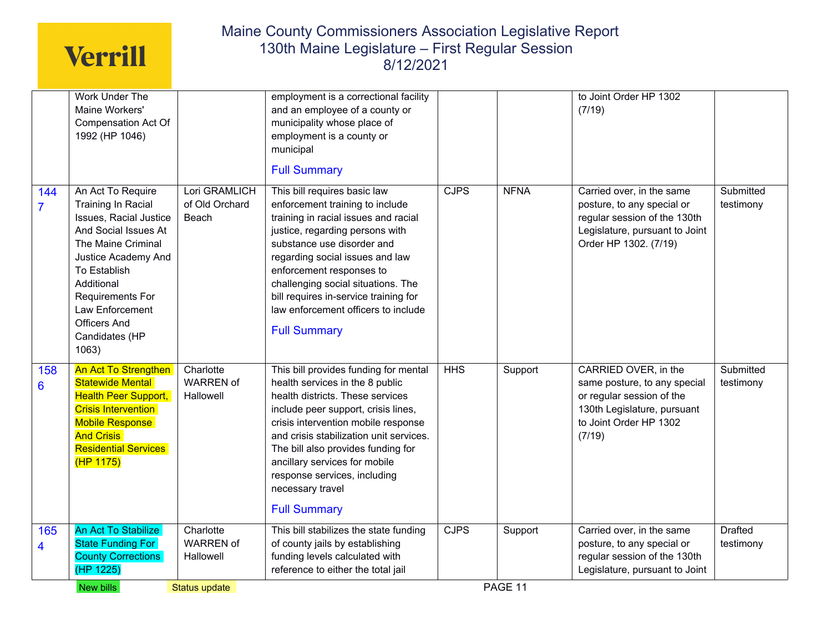|                       | Work Under The<br>Maine Workers'<br><b>Compensation Act Of</b><br>1992 (HP 1046)                                                                                                                                                                                            |                                            | employment is a correctional facility<br>and an employee of a county or<br>municipality whose place of<br>employment is a county or                                                                                                                                                                                                                                                     |      |             | to Joint Order HP 1302<br>(7/19)                                                                                                                     |                             |
|-----------------------|-----------------------------------------------------------------------------------------------------------------------------------------------------------------------------------------------------------------------------------------------------------------------------|--------------------------------------------|-----------------------------------------------------------------------------------------------------------------------------------------------------------------------------------------------------------------------------------------------------------------------------------------------------------------------------------------------------------------------------------------|------|-------------|------------------------------------------------------------------------------------------------------------------------------------------------------|-----------------------------|
|                       |                                                                                                                                                                                                                                                                             |                                            | municipal<br><b>Full Summary</b>                                                                                                                                                                                                                                                                                                                                                        |      |             |                                                                                                                                                      |                             |
| 144<br>$\overline{7}$ | An Act To Require<br><b>Training In Racial</b><br><b>Issues, Racial Justice</b><br>And Social Issues At<br>The Maine Criminal<br>Justice Academy And<br>To Establish<br>Additional<br>Requirements For<br>Law Enforcement<br><b>Officers And</b><br>Candidates (HP<br>1063) | Lori GRAMLICH<br>of Old Orchard<br>Beach   | This bill requires basic law<br>enforcement training to include<br>training in racial issues and racial<br>justice, regarding persons with<br>substance use disorder and<br>regarding social issues and law<br>enforcement responses to<br>challenging social situations. The<br>bill requires in-service training for<br>law enforcement officers to include<br><b>Full Summary</b>    | CJPS | <b>NFNA</b> | Carried over, in the same<br>posture, to any special or<br>regular session of the 130th<br>Legislature, pursuant to Joint<br>Order HP 1302. (7/19)   | Submitted<br>testimony      |
| 158<br>6              | <b>An Act To Strengthen</b><br><b>Statewide Mental</b><br><b>Health Peer Support,</b><br><b>Crisis Intervention</b><br>Mobile Response<br><b>And Crisis</b><br><b>Residential Services</b><br>(HP 1175)                                                                     | Charlotte<br><b>WARREN of</b><br>Hallowell | This bill provides funding for mental<br>health services in the 8 public<br>health districts. These services<br>include peer support, crisis lines,<br>crisis intervention mobile response<br>and crisis stabilization unit services.<br>The bill also provides funding for<br>ancillary services for mobile<br>response services, including<br>necessary travel<br><b>Full Summary</b> | HHS  | Support     | CARRIED OVER, in the<br>same posture, to any special<br>or regular session of the<br>130th Legislature, pursuant<br>to Joint Order HP 1302<br>(7/19) | Submitted<br>testimony      |
| 165<br>4              | <b>An Act To Stabilize</b><br><b>State Funding For</b><br><b>County Corrections</b><br>(HP 1225)                                                                                                                                                                            | Charlotte<br><b>WARREN of</b><br>Hallowell | This bill stabilizes the state funding<br>of county jails by establishing<br>funding levels calculated with<br>reference to either the total jail                                                                                                                                                                                                                                       | CJPS | Support     | Carried over, in the same<br>posture, to any special or<br>regular session of the 130th<br>Legislature, pursuant to Joint                            | <b>Drafted</b><br>testimony |
|                       | New bills                                                                                                                                                                                                                                                                   | Status update                              |                                                                                                                                                                                                                                                                                                                                                                                         |      | PAGE 11     |                                                                                                                                                      |                             |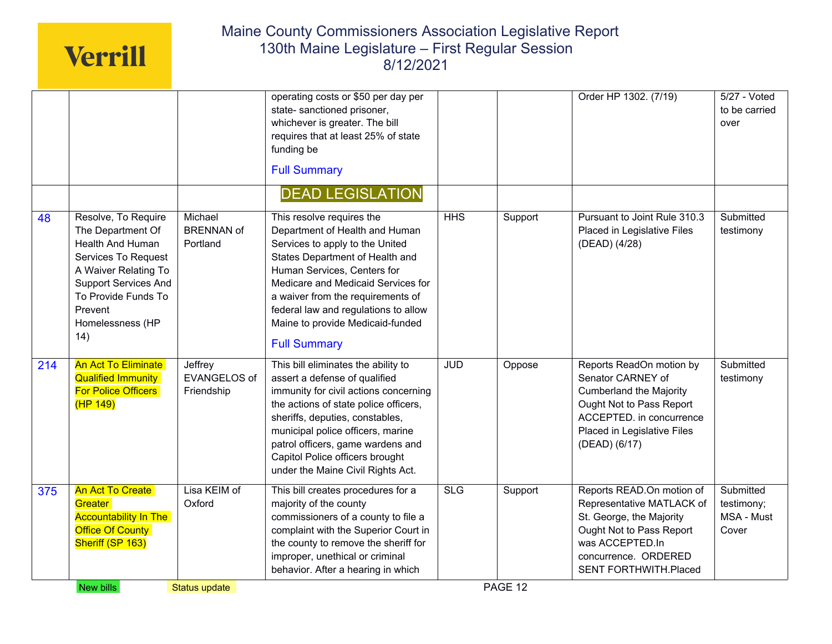|     |                                                                                                                                                                                                         |                                              | operating costs or \$50 per day per                                                                                                                                                                                                                                                                                                            |            |         | Order HP 1302. (7/19)                                                                                                                                                                     | $5/27 - Voted$                                 |
|-----|---------------------------------------------------------------------------------------------------------------------------------------------------------------------------------------------------------|----------------------------------------------|------------------------------------------------------------------------------------------------------------------------------------------------------------------------------------------------------------------------------------------------------------------------------------------------------------------------------------------------|------------|---------|-------------------------------------------------------------------------------------------------------------------------------------------------------------------------------------------|------------------------------------------------|
|     |                                                                                                                                                                                                         |                                              | state- sanctioned prisoner,<br>whichever is greater. The bill<br>requires that at least 25% of state<br>funding be<br><b>Full Summary</b>                                                                                                                                                                                                      |            |         |                                                                                                                                                                                           | to be carried<br>over                          |
|     |                                                                                                                                                                                                         |                                              | <b>DEAD LEGISLATION</b>                                                                                                                                                                                                                                                                                                                        |            |         |                                                                                                                                                                                           |                                                |
| 48  | Resolve, To Require<br>The Department Of<br>Health And Human<br>Services To Request<br>A Waiver Relating To<br><b>Support Services And</b><br>To Provide Funds To<br>Prevent<br>Homelessness (HP<br>14) | Michael<br><b>BRENNAN of</b><br>Portland     | This resolve requires the<br>Department of Health and Human<br>Services to apply to the United<br>States Department of Health and<br>Human Services, Centers for<br>Medicare and Medicaid Services for<br>a waiver from the requirements of<br>federal law and regulations to allow<br>Maine to provide Medicaid-funded<br><b>Full Summary</b> | HHS        | Support | Pursuant to Joint Rule 310.3<br>Placed in Legislative Files<br>(DEAD) (4/28)                                                                                                              | Submitted<br>testimony                         |
| 214 | <b>An Act To Eliminate</b><br><b>Qualified Immunity</b><br>For Police Officers<br>(HP 149)                                                                                                              | Jeffrey<br><b>EVANGELOS of</b><br>Friendship | This bill eliminates the ability to<br>assert a defense of qualified<br>immunity for civil actions concerning<br>the actions of state police officers,<br>sheriffs, deputies, constables,<br>municipal police officers, marine<br>patrol officers, game wardens and<br>Capitol Police officers brought<br>under the Maine Civil Rights Act.    | <b>JUD</b> | Oppose  | Reports ReadOn motion by<br>Senator CARNEY of<br><b>Cumberland the Majority</b><br>Ought Not to Pass Report<br>ACCEPTED. in concurrence<br>Placed in Legislative Files<br>(DEAD) (6/17)   | Submitted<br>testimony                         |
| 375 | <b>An Act To Create</b><br>Greater<br><b>Accountability In The</b><br>Office Of County<br>Sheriff (SP 163)                                                                                              | Lisa KEIM of<br>Oxford                       | This bill creates procedures for a<br>majority of the county<br>commissioners of a county to file a<br>complaint with the Superior Court in<br>the county to remove the sheriff for<br>improper, unethical or criminal<br>behavior. After a hearing in which                                                                                   | <b>SLG</b> | Support | Reports READ.On motion of<br>Representative MATLACK of<br>St. George, the Majority<br>Ought Not to Pass Report<br>was ACCEPTED.In<br>concurrence. ORDERED<br><b>SENT FORTHWITH.Placed</b> | Submitted<br>testimony;<br>MSA - Must<br>Cover |
|     | New bills                                                                                                                                                                                               | Status update                                |                                                                                                                                                                                                                                                                                                                                                |            | PAGE 12 |                                                                                                                                                                                           |                                                |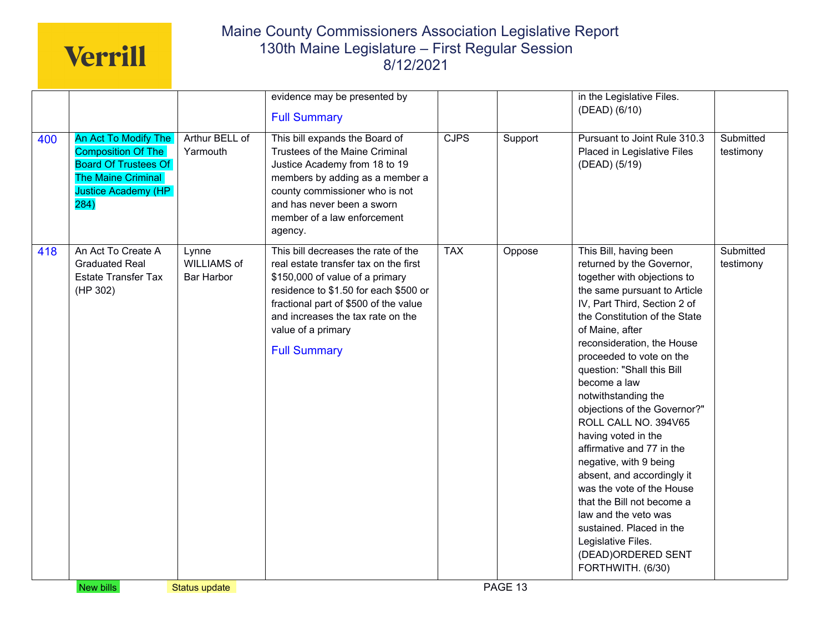|     |                                                                                                                                                     |                                           | evidence may be presented by<br><b>Full Summary</b>                                                                                                                                                                                                                                 |             |         | in the Legislative Files.<br>(DEAD) (6/10)                                                                                                                                                                                                                                                                                                                                                                                                                                                                                                                                                                                                                                                |                        |
|-----|-----------------------------------------------------------------------------------------------------------------------------------------------------|-------------------------------------------|-------------------------------------------------------------------------------------------------------------------------------------------------------------------------------------------------------------------------------------------------------------------------------------|-------------|---------|-------------------------------------------------------------------------------------------------------------------------------------------------------------------------------------------------------------------------------------------------------------------------------------------------------------------------------------------------------------------------------------------------------------------------------------------------------------------------------------------------------------------------------------------------------------------------------------------------------------------------------------------------------------------------------------------|------------------------|
| 400 | An Act To Modify The<br><b>Composition Of The</b><br><b>Board Of Trustees Of</b><br><b>The Maine Criminal</b><br><b>Justice Academy (HP</b><br>284) | Arthur BELL of<br>Yarmouth                | This bill expands the Board of<br>Trustees of the Maine Criminal<br>Justice Academy from 18 to 19<br>members by adding as a member a<br>county commissioner who is not<br>and has never been a sworn<br>member of a law enforcement<br>agency.                                      | <b>CJPS</b> | Support | Pursuant to Joint Rule 310.3<br>Placed in Legislative Files<br>(DEAD) (5/19)                                                                                                                                                                                                                                                                                                                                                                                                                                                                                                                                                                                                              | Submitted<br>testimony |
| 418 | An Act To Create A<br><b>Graduated Real</b><br><b>Estate Transfer Tax</b><br>(HP 302)                                                               | Lynne<br><b>WILLIAMS of</b><br>Bar Harbor | This bill decreases the rate of the<br>real estate transfer tax on the first<br>\$150,000 of value of a primary<br>residence to \$1.50 for each \$500 or<br>fractional part of \$500 of the value<br>and increases the tax rate on the<br>value of a primary<br><b>Full Summary</b> | <b>TAX</b>  | Oppose  | This Bill, having been<br>returned by the Governor,<br>together with objections to<br>the same pursuant to Article<br>IV, Part Third, Section 2 of<br>the Constitution of the State<br>of Maine, after<br>reconsideration, the House<br>proceeded to vote on the<br>question: "Shall this Bill<br>become a law<br>notwithstanding the<br>objections of the Governor?"<br>ROLL CALL NO. 394V65<br>having voted in the<br>affirmative and 77 in the<br>negative, with 9 being<br>absent, and accordingly it<br>was the vote of the House<br>that the Bill not become a<br>law and the veto was<br>sustained. Placed in the<br>Legislative Files.<br>(DEAD)ORDERED SENT<br>FORTHWITH. (6/30) | Submitted<br>testimony |
|     | New bills                                                                                                                                           | <b>Status update</b>                      |                                                                                                                                                                                                                                                                                     |             | PAGE 13 |                                                                                                                                                                                                                                                                                                                                                                                                                                                                                                                                                                                                                                                                                           |                        |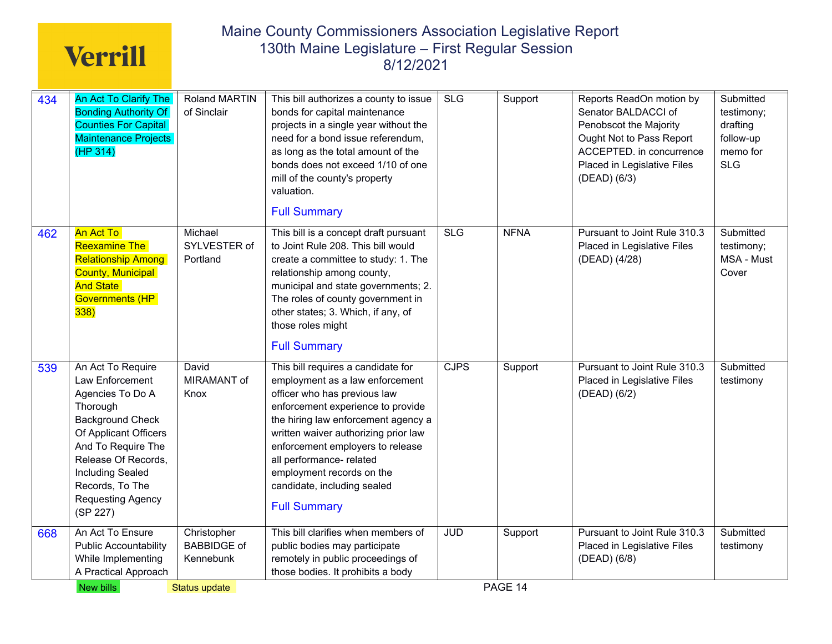| 434 | An Act To Clarify The<br><b>Bonding Authority Of</b><br><b>Counties For Capital</b><br><b>Maintenance Projects</b><br>(HP 314)                                                                                                                              | <b>Roland MARTIN</b><br>of Sinclair            | This bill authorizes a county to issue<br>bonds for capital maintenance<br>projects in a single year without the<br>need for a bond issue referendum,<br>as long as the total amount of the<br>bonds does not exceed 1/10 of one<br>mill of the county's property<br>valuation.<br><b>Full Summary</b>                                                                       | <b>SLG</b>  | Support     | Reports ReadOn motion by<br>Senator BALDACCI of<br>Penobscot the Majority<br>Ought Not to Pass Report<br>ACCEPTED. in concurrence<br>Placed in Legislative Files<br>(DEAD) (6/3) | Submitted<br>testimony;<br>drafting<br>follow-up<br>memo for<br><b>SLG</b> |
|-----|-------------------------------------------------------------------------------------------------------------------------------------------------------------------------------------------------------------------------------------------------------------|------------------------------------------------|------------------------------------------------------------------------------------------------------------------------------------------------------------------------------------------------------------------------------------------------------------------------------------------------------------------------------------------------------------------------------|-------------|-------------|----------------------------------------------------------------------------------------------------------------------------------------------------------------------------------|----------------------------------------------------------------------------|
| 462 | An Act To<br><b>Reexamine The</b><br><b>Relationship Among</b><br><b>County, Municipal</b><br><b>And State</b><br><b>Governments (HP</b><br>338)                                                                                                            | Michael<br>SYLVESTER of<br>Portland            | This bill is a concept draft pursuant<br>to Joint Rule 208. This bill would<br>create a committee to study: 1. The<br>relationship among county,<br>municipal and state governments; 2.<br>The roles of county government in<br>other states; 3. Which, if any, of<br>those roles might<br><b>Full Summary</b>                                                               | SLG         | <b>NFNA</b> | Pursuant to Joint Rule 310.3<br>Placed in Legislative Files<br>(DEAD) (4/28)                                                                                                     | Submitted<br>testimony;<br>MSA - Must<br>Cover                             |
| 539 | An Act To Require<br>Law Enforcement<br>Agencies To Do A<br>Thorough<br><b>Background Check</b><br>Of Applicant Officers<br>And To Require The<br>Release Of Records,<br><b>Including Sealed</b><br>Records, To The<br><b>Requesting Agency</b><br>(SP 227) | David<br>MIRAMANT of<br>Knox                   | This bill requires a candidate for<br>employment as a law enforcement<br>officer who has previous law<br>enforcement experience to provide<br>the hiring law enforcement agency a<br>written waiver authorizing prior law<br>enforcement employers to release<br>all performance- related<br>employment records on the<br>candidate, including sealed<br><b>Full Summary</b> | <b>CJPS</b> | Support     | Pursuant to Joint Rule 310.3<br>Placed in Legislative Files<br>(DEAD) (6/2)                                                                                                      | Submitted<br>testimony                                                     |
| 668 | An Act To Ensure<br><b>Public Accountability</b><br>While Implementing<br>A Practical Approach                                                                                                                                                              | Christopher<br><b>BABBIDGE of</b><br>Kennebunk | This bill clarifies when members of<br>public bodies may participate<br>remotely in public proceedings of<br>those bodies. It prohibits a body                                                                                                                                                                                                                               | <b>JUD</b>  | Support     | Pursuant to Joint Rule 310.3<br>Placed in Legislative Files<br>(DEAD) (6/8)                                                                                                      | Submitted<br>testimony                                                     |
|     | New bills                                                                                                                                                                                                                                                   | Status update                                  |                                                                                                                                                                                                                                                                                                                                                                              |             | PAGE 14     |                                                                                                                                                                                  |                                                                            |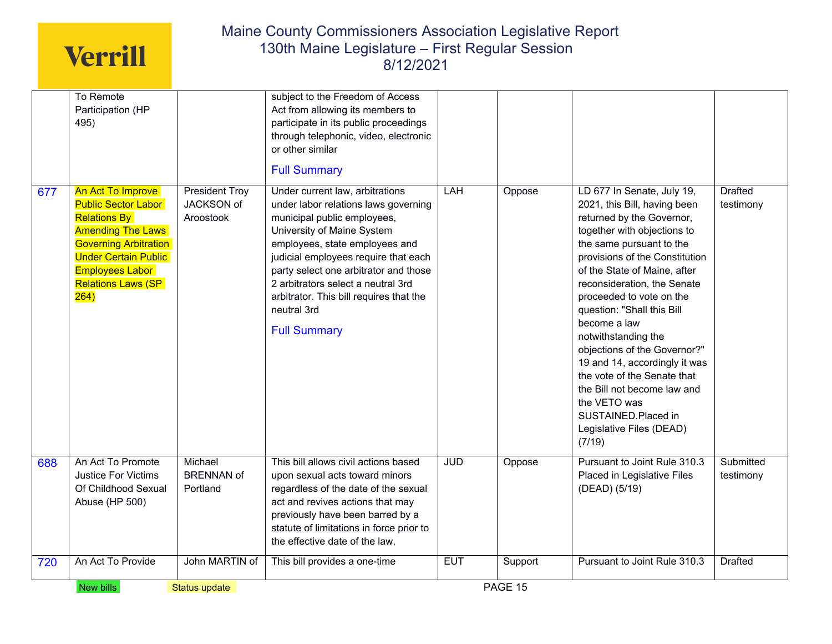|     | To Remote                                                                                                                                                                                                                               |                                                  | subject to the Freedom of Access                                                                                                                                                                                                                                                                                                                                               |            |         |                                                                                                                                                                                                                                                                                                                                                                                                                                                                                                                                                                  |                             |
|-----|-----------------------------------------------------------------------------------------------------------------------------------------------------------------------------------------------------------------------------------------|--------------------------------------------------|--------------------------------------------------------------------------------------------------------------------------------------------------------------------------------------------------------------------------------------------------------------------------------------------------------------------------------------------------------------------------------|------------|---------|------------------------------------------------------------------------------------------------------------------------------------------------------------------------------------------------------------------------------------------------------------------------------------------------------------------------------------------------------------------------------------------------------------------------------------------------------------------------------------------------------------------------------------------------------------------|-----------------------------|
|     | Participation (HP<br>495)                                                                                                                                                                                                               |                                                  | Act from allowing its members to<br>participate in its public proceedings<br>through telephonic, video, electronic<br>or other similar<br><b>Full Summary</b>                                                                                                                                                                                                                  |            |         |                                                                                                                                                                                                                                                                                                                                                                                                                                                                                                                                                                  |                             |
| 677 | <b>An Act To Improve</b><br><b>Public Sector Labor</b><br><b>Relations By</b><br><b>Amending The Laws</b><br><b>Governing Arbitration</b><br><b>Under Certain Public</b><br><b>Employees Labor</b><br><b>Relations Laws (SP</b><br>264) | <b>President Troy</b><br>JACKSON of<br>Aroostook | Under current law, arbitrations<br>under labor relations laws governing<br>municipal public employees,<br>University of Maine System<br>employees, state employees and<br>judicial employees require that each<br>party select one arbitrator and those<br>2 arbitrators select a neutral 3rd<br>arbitrator. This bill requires that the<br>neutral 3rd<br><b>Full Summary</b> | LAH        | Oppose  | LD 677 In Senate, July 19,<br>2021, this Bill, having been<br>returned by the Governor,<br>together with objections to<br>the same pursuant to the<br>provisions of the Constitution<br>of the State of Maine, after<br>reconsideration, the Senate<br>proceeded to vote on the<br>question: "Shall this Bill<br>become a law<br>notwithstanding the<br>objections of the Governor?"<br>19 and 14, accordingly it was<br>the vote of the Senate that<br>the Bill not become law and<br>the VETO was<br>SUSTAINED.Placed in<br>Legislative Files (DEAD)<br>(7/19) | <b>Drafted</b><br>testimony |
| 688 | An Act To Promote<br><b>Justice For Victims</b><br>Of Childhood Sexual<br>Abuse (HP 500)                                                                                                                                                | Michael<br><b>BRENNAN of</b><br>Portland         | This bill allows civil actions based<br>upon sexual acts toward minors<br>regardless of the date of the sexual<br>act and revives actions that may<br>previously have been barred by a<br>statute of limitations in force prior to<br>the effective date of the law.                                                                                                           | <b>JUD</b> | Oppose  | Pursuant to Joint Rule 310.3<br>Placed in Legislative Files<br>(DEAD) (5/19)                                                                                                                                                                                                                                                                                                                                                                                                                                                                                     | Submitted<br>testimony      |
| 720 | An Act To Provide                                                                                                                                                                                                                       | John MARTIN of                                   | This bill provides a one-time                                                                                                                                                                                                                                                                                                                                                  | <b>EUT</b> | Support | Pursuant to Joint Rule 310.3                                                                                                                                                                                                                                                                                                                                                                                                                                                                                                                                     | <b>Drafted</b>              |
|     | New bills                                                                                                                                                                                                                               | <b>Status update</b>                             |                                                                                                                                                                                                                                                                                                                                                                                |            | PAGE 15 |                                                                                                                                                                                                                                                                                                                                                                                                                                                                                                                                                                  |                             |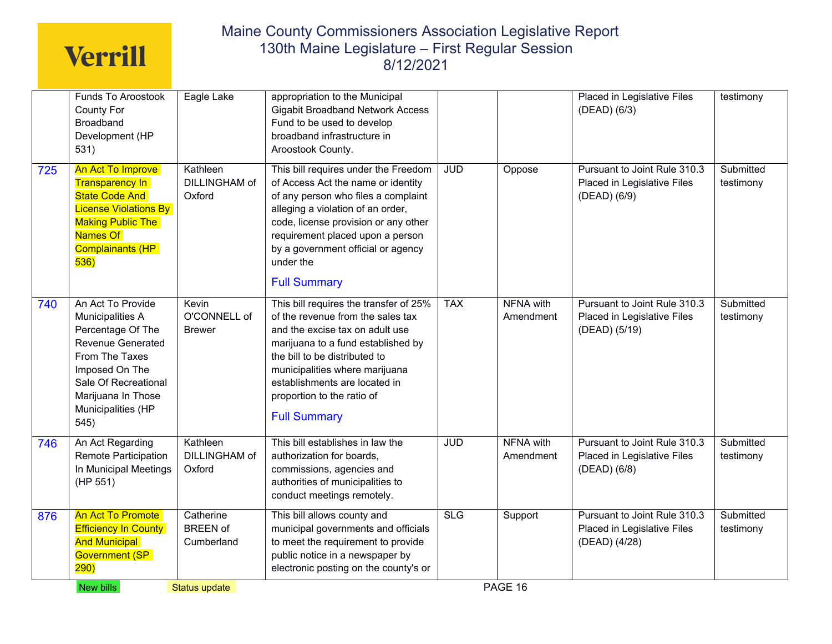|     | Funds To Aroostook<br>County For<br>Broadband<br>Development (HP<br>531)                                                                                                                        | Eagle Lake                                 | appropriation to the Municipal<br><b>Gigabit Broadband Network Access</b><br>Fund to be used to develop<br>broadband infrastructure in<br>Aroostook County.                                                                                                                                                   |            |                               | Placed in Legislative Files<br>(DEAD) (6/3)                                  | testimony              |
|-----|-------------------------------------------------------------------------------------------------------------------------------------------------------------------------------------------------|--------------------------------------------|---------------------------------------------------------------------------------------------------------------------------------------------------------------------------------------------------------------------------------------------------------------------------------------------------------------|------------|-------------------------------|------------------------------------------------------------------------------|------------------------|
| 725 | <b>An Act To Improve</b><br><b>Transparency In</b><br><b>State Code And</b><br><b>License Violations By</b><br><b>Making Public The</b><br>Names Of<br>Complainants (HP<br>536)                 | Kathleen<br><b>DILLINGHAM of</b><br>Oxford | This bill requires under the Freedom<br>of Access Act the name or identity<br>of any person who files a complaint<br>alleging a violation of an order,<br>code, license provision or any other<br>requirement placed upon a person<br>by a government official or agency<br>under the<br><b>Full Summary</b>  | <b>JUD</b> | Oppose                        | Pursuant to Joint Rule 310.3<br>Placed in Legislative Files<br>(DEAD) (6/9)  | Submitted<br>testimony |
| 740 | An Act To Provide<br>Municipalities A<br>Percentage Of The<br>Revenue Generated<br>From The Taxes<br>Imposed On The<br>Sale Of Recreational<br>Marijuana In Those<br>Municipalities (HP<br>545) | Kevin<br>O'CONNELL of<br><b>Brewer</b>     | This bill requires the transfer of 25%<br>of the revenue from the sales tax<br>and the excise tax on adult use<br>marijuana to a fund established by<br>the bill to be distributed to<br>municipalities where marijuana<br>establishments are located in<br>proportion to the ratio of<br><b>Full Summary</b> | <b>TAX</b> | <b>NFNA</b> with<br>Amendment | Pursuant to Joint Rule 310.3<br>Placed in Legislative Files<br>(DEAD) (5/19) | Submitted<br>testimony |
| 746 | An Act Regarding<br>Remote Participation<br>In Municipal Meetings<br>(HP 551)                                                                                                                   | Kathleen<br>DILLINGHAM of<br>Oxford        | This bill establishes in law the<br>authorization for boards,<br>commissions, agencies and<br>authorities of municipalities to<br>conduct meetings remotely.                                                                                                                                                  | <b>JUD</b> | <b>NFNA with</b><br>Amendment | Pursuant to Joint Rule 310.3<br>Placed in Legislative Files<br>(DEAD) (6/8)  | Submitted<br>testimony |
| 876 | An Act To Promote<br><b>Efficiency In County</b><br><b>And Municipal</b><br><b>Government (SP</b><br>290)                                                                                       | Catherine<br><b>BREEN of</b><br>Cumberland | This bill allows county and<br>municipal governments and officials<br>to meet the requirement to provide<br>public notice in a newspaper by<br>electronic posting on the county's or                                                                                                                          | <b>SLG</b> | Support                       | Pursuant to Joint Rule 310.3<br>Placed in Legislative Files<br>(DEAD) (4/28) | Submitted<br>testimony |
|     | New bills                                                                                                                                                                                       | Status update                              |                                                                                                                                                                                                                                                                                                               |            | PAGE 16                       |                                                                              |                        |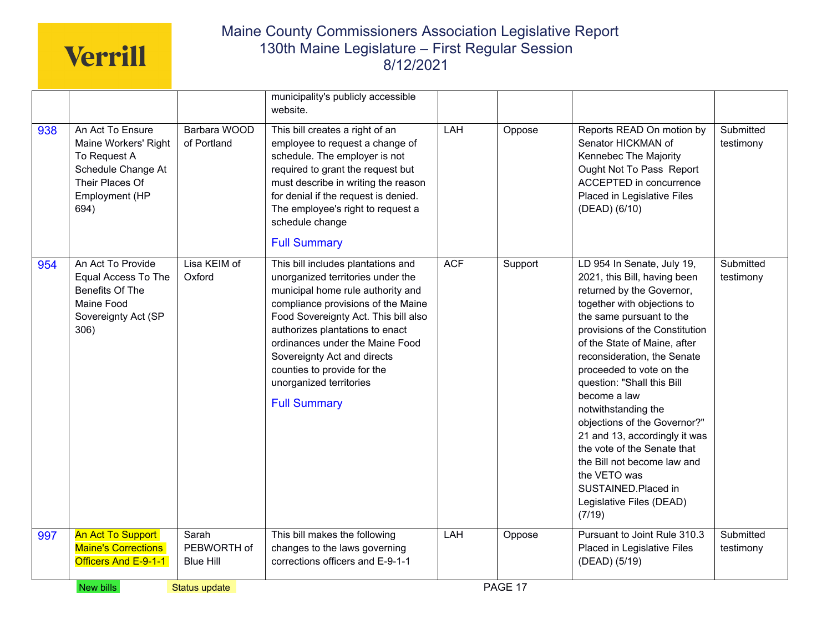|     | New bills                                                                                                                   | Status update                            |                                                                                                                                                                                                                                                                                                                                                                                  |            | PAGE 17 |                                                                                                                                                                                                                                                                                                                                                                                                                                                                                                                                                                  |                        |
|-----|-----------------------------------------------------------------------------------------------------------------------------|------------------------------------------|----------------------------------------------------------------------------------------------------------------------------------------------------------------------------------------------------------------------------------------------------------------------------------------------------------------------------------------------------------------------------------|------------|---------|------------------------------------------------------------------------------------------------------------------------------------------------------------------------------------------------------------------------------------------------------------------------------------------------------------------------------------------------------------------------------------------------------------------------------------------------------------------------------------------------------------------------------------------------------------------|------------------------|
| 997 | <b>An Act To Support</b><br><b>Maine's Corrections</b><br>Officers And E-9-1-1                                              | Sarah<br>PEBWORTH of<br><b>Blue Hill</b> | This bill makes the following<br>changes to the laws governing<br>corrections officers and E-9-1-1                                                                                                                                                                                                                                                                               | LAH        | Oppose  | Pursuant to Joint Rule 310.3<br>Placed in Legislative Files<br>(DEAD) (5/19)                                                                                                                                                                                                                                                                                                                                                                                                                                                                                     | Submitted<br>testimony |
| 954 | An Act To Provide<br>Equal Access To The<br>Benefits Of The<br>Maine Food<br>Sovereignty Act (SP<br>306)                    | Lisa KEIM of<br>Oxford                   | This bill includes plantations and<br>unorganized territories under the<br>municipal home rule authority and<br>compliance provisions of the Maine<br>Food Sovereignty Act. This bill also<br>authorizes plantations to enact<br>ordinances under the Maine Food<br>Sovereignty Act and directs<br>counties to provide for the<br>unorganized territories<br><b>Full Summary</b> | <b>ACF</b> | Support | LD 954 In Senate, July 19,<br>2021, this Bill, having been<br>returned by the Governor,<br>together with objections to<br>the same pursuant to the<br>provisions of the Constitution<br>of the State of Maine, after<br>reconsideration, the Senate<br>proceeded to vote on the<br>question: "Shall this Bill<br>become a law<br>notwithstanding the<br>objections of the Governor?"<br>21 and 13, accordingly it was<br>the vote of the Senate that<br>the Bill not become law and<br>the VETO was<br>SUSTAINED.Placed in<br>Legislative Files (DEAD)<br>(7/19) | Submitted<br>testimony |
| 938 | An Act To Ensure<br>Maine Workers' Right<br>To Request A<br>Schedule Change At<br>Their Places Of<br>Employment (HP<br>694) | Barbara WOOD<br>of Portland              | municipality's publicly accessible<br>website.<br>This bill creates a right of an<br>employee to request a change of<br>schedule. The employer is not<br>required to grant the request but<br>must describe in writing the reason<br>for denial if the request is denied.<br>The employee's right to request a<br>schedule change<br><b>Full Summary</b>                         | <b>LAH</b> | Oppose  | Reports READ On motion by<br>Senator HICKMAN of<br>Kennebec The Majority<br>Ought Not To Pass Report<br>ACCEPTED in concurrence<br>Placed in Legislative Files<br>(DEAD) (6/10)                                                                                                                                                                                                                                                                                                                                                                                  | Submitted<br>testimony |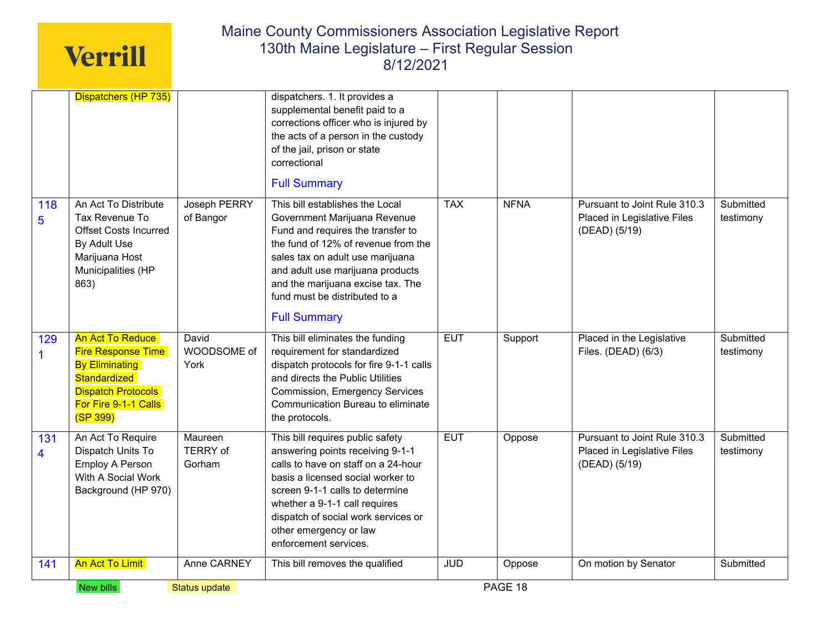|                                | Dispatchers (HP 735)                                                                                                                                    |                                      | dispatchers. 1. It provides a<br>supplemental benefit paid to a<br>corrections officer who is injured by<br>the acts of a person in the custody<br>of the jail, prison or state<br>correctional<br><b>Full Summary</b>                                                                                           |            |             |                                                                              |                        |
|--------------------------------|---------------------------------------------------------------------------------------------------------------------------------------------------------|--------------------------------------|------------------------------------------------------------------------------------------------------------------------------------------------------------------------------------------------------------------------------------------------------------------------------------------------------------------|------------|-------------|------------------------------------------------------------------------------|------------------------|
| 118<br>$\overline{5}$          | An Act To Distribute<br>Tax Revenue To<br><b>Offset Costs Incurred</b><br>By Adult Use<br>Marijuana Host<br>Municipalities (HP<br>863)                  | Joseph PERRY<br>of Bangor            | This bill establishes the Local<br>Government Marijuana Revenue<br>Fund and requires the transfer to<br>the fund of 12% of revenue from the<br>sales tax on adult use marijuana<br>and adult use marijuana products<br>and the marijuana excise tax. The<br>fund must be distributed to a<br><b>Full Summary</b> | <b>TAX</b> | <b>NFNA</b> | Pursuant to Joint Rule 310.3<br>Placed in Legislative Files<br>(DEAD) (5/19) | Submitted<br>testimony |
| 129<br>1                       | An Act To Reduce<br><b>Fire Response Time</b><br><b>By Eliminating</b><br>Standardized<br><b>Dispatch Protocols</b><br>For Fire 9-1-1 Calls<br>(SP 399) | David<br>WOODSOME of<br>York         | This bill eliminates the funding<br>requirement for standardized<br>dispatch protocols for fire 9-1-1 calls<br>and directs the Public Utilities<br><b>Commission, Emergency Services</b><br>Communication Bureau to eliminate<br>the protocols.                                                                  | <b>EUT</b> | Support     | Placed in the Legislative<br>Files. (DEAD) (6/3)                             | Submitted<br>testimony |
| 131<br>$\overline{\mathbf{4}}$ | An Act To Require<br>Dispatch Units To<br><b>Employ A Person</b><br>With A Social Work<br>Background (HP 970)                                           | Maureen<br><b>TERRY</b> of<br>Gorham | This bill requires public safety<br>answering points receiving 9-1-1<br>calls to have on staff on a 24-hour<br>basis a licensed social worker to<br>screen 9-1-1 calls to determine<br>whether a 9-1-1 call requires<br>dispatch of social work services or<br>other emergency or law<br>enforcement services.   | <b>EUT</b> | Oppose      | Pursuant to Joint Rule 310.3<br>Placed in Legislative Files<br>(DEAD) (5/19) | Submitted<br>testimony |
|                                |                                                                                                                                                         | Anne CARNEY                          | This bill removes the qualified                                                                                                                                                                                                                                                                                  | <b>JUD</b> | Oppose      | On motion by Senator                                                         | Submitted              |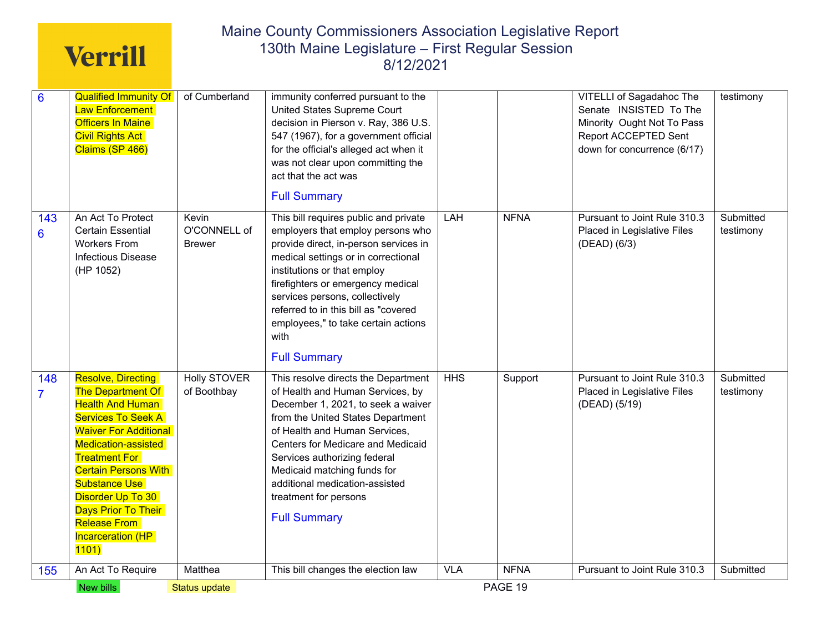|                | New bills                                                                                                           | Status update         |                                                                                                                                                                                                                  |            | PAGE 19     |                                                             |                        |
|----------------|---------------------------------------------------------------------------------------------------------------------|-----------------------|------------------------------------------------------------------------------------------------------------------------------------------------------------------------------------------------------------------|------------|-------------|-------------------------------------------------------------|------------------------|
| 155            | 1101)<br>An Act To Require                                                                                          | Matthea               | This bill changes the election law                                                                                                                                                                               | <b>VLA</b> | <b>NFNA</b> | Pursuant to Joint Rule 310.3                                | Submitted              |
|                | <b>Substance Use</b><br>Disorder Up To 30<br><b>Days Prior To Their</b><br><b>Release From</b><br>Incarceration (HP |                       | additional medication-assisted<br>treatment for persons<br><b>Full Summary</b>                                                                                                                                   |            |             |                                                             |                        |
|                | <b>Treatment For</b><br><b>Certain Persons With</b>                                                                 |                       | Services authorizing federal<br>Medicaid matching funds for                                                                                                                                                      |            |             |                                                             |                        |
|                | <b>Services To Seek A</b><br><b>Waiver For Additional</b><br>Medication-assisted                                    |                       | from the United States Department<br>of Health and Human Services,<br>Centers for Medicare and Medicaid                                                                                                          |            |             |                                                             |                        |
| $\overline{7}$ | <b>The Department Of</b><br><b>Health And Human</b>                                                                 | of Boothbay           | of Health and Human Services, by<br>December 1, 2021, to seek a waiver                                                                                                                                           |            |             | Placed in Legislative Files<br>(DEAD) (5/19)                | testimony              |
| 148            | <b>Resolve, Directing</b>                                                                                           | <b>Holly STOVER</b>   | This resolve directs the Department                                                                                                                                                                              | <b>HHS</b> | Support     | Pursuant to Joint Rule 310.3                                | Submitted              |
|                | (HP 1052)                                                                                                           |                       | institutions or that employ<br>firefighters or emergency medical<br>services persons, collectively<br>referred to in this bill as "covered<br>employees," to take certain actions<br>with<br><b>Full Summary</b> |            |             |                                                             |                        |
| 6              | <b>Workers From</b><br><b>Infectious Disease</b>                                                                    | <b>Brewer</b>         | provide direct, in-person services in<br>medical settings or in correctional                                                                                                                                     |            |             | (DEAD) (6/3)                                                |                        |
| 143            | An Act To Protect<br><b>Certain Essential</b>                                                                       | Kevin<br>O'CONNELL of | <b>Full Summary</b><br>This bill requires public and private<br>employers that employ persons who                                                                                                                | LAH        | <b>NFNA</b> | Pursuant to Joint Rule 310.3<br>Placed in Legislative Files | Submitted<br>testimony |
|                |                                                                                                                     |                       | was not clear upon committing the<br>act that the act was                                                                                                                                                        |            |             |                                                             |                        |
|                | <b>Civil Rights Act</b><br>Claims (SP 466)                                                                          |                       | 547 (1967), for a government official<br>for the official's alleged act when it                                                                                                                                  |            |             | Report ACCEPTED Sent<br>down for concurrence (6/17)         |                        |
|                | <b>Officers In Maine</b>                                                                                            |                       | decision in Pierson v. Ray, 386 U.S.                                                                                                                                                                             |            |             | Minority Ought Not To Pass                                  |                        |
| $\overline{6}$ | <b>Qualified Immunity Of</b><br><b>Law Enforcement</b>                                                              | of Cumberland         | immunity conferred pursuant to the<br>United States Supreme Court                                                                                                                                                |            |             | <b>VITELLI of Sagadahoc The</b><br>Senate INSISTED To The   | testimony              |